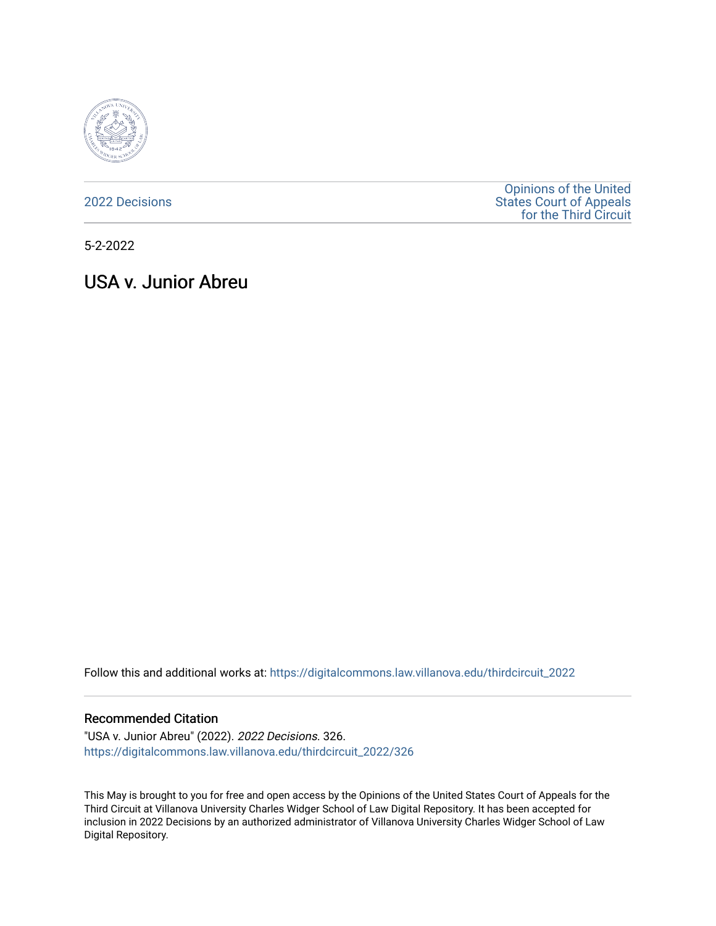

[2022 Decisions](https://digitalcommons.law.villanova.edu/thirdcircuit_2022)

[Opinions of the United](https://digitalcommons.law.villanova.edu/thirdcircuit)  [States Court of Appeals](https://digitalcommons.law.villanova.edu/thirdcircuit)  [for the Third Circuit](https://digitalcommons.law.villanova.edu/thirdcircuit) 

5-2-2022

# USA v. Junior Abreu

Follow this and additional works at: [https://digitalcommons.law.villanova.edu/thirdcircuit\\_2022](https://digitalcommons.law.villanova.edu/thirdcircuit_2022?utm_source=digitalcommons.law.villanova.edu%2Fthirdcircuit_2022%2F326&utm_medium=PDF&utm_campaign=PDFCoverPages) 

#### Recommended Citation

"USA v. Junior Abreu" (2022). 2022 Decisions. 326. [https://digitalcommons.law.villanova.edu/thirdcircuit\\_2022/326](https://digitalcommons.law.villanova.edu/thirdcircuit_2022/326?utm_source=digitalcommons.law.villanova.edu%2Fthirdcircuit_2022%2F326&utm_medium=PDF&utm_campaign=PDFCoverPages)

This May is brought to you for free and open access by the Opinions of the United States Court of Appeals for the Third Circuit at Villanova University Charles Widger School of Law Digital Repository. It has been accepted for inclusion in 2022 Decisions by an authorized administrator of Villanova University Charles Widger School of Law Digital Repository.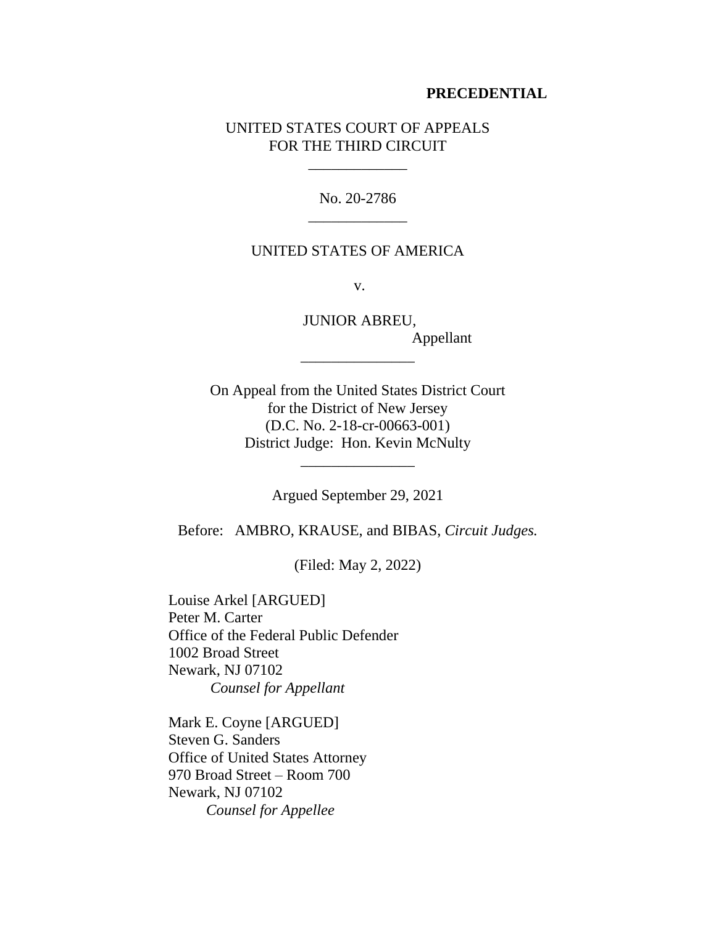## **PRECEDENTIAL**

## UNITED STATES COURT OF APPEALS FOR THE THIRD CIRCUIT

\_\_\_\_\_\_\_\_\_\_\_\_\_

No. 20-2786 \_\_\_\_\_\_\_\_\_\_\_\_\_

#### UNITED STATES OF AMERICA

v.

JUNIOR ABREU, Appellant \_\_\_\_\_\_\_\_\_\_\_\_\_\_\_

On Appeal from the United States District Court for the District of New Jersey (D.C. No. 2-18-cr-00663-001) District Judge: Hon. Kevin McNulty

Argued September 29, 2021

\_\_\_\_\_\_\_\_\_\_\_\_\_\_\_

Before: AMBRO, KRAUSE, and BIBAS, *Circuit Judges.*

(Filed: May 2, 2022)

Louise Arkel [ARGUED] Peter M. Carter Office of the Federal Public Defender 1002 Broad Street Newark, NJ 07102 *Counsel for Appellant*

Mark E. Coyne [ARGUED] Steven G. Sanders Office of United States Attorney 970 Broad Street – Room 700 Newark, NJ 07102 *Counsel for Appellee*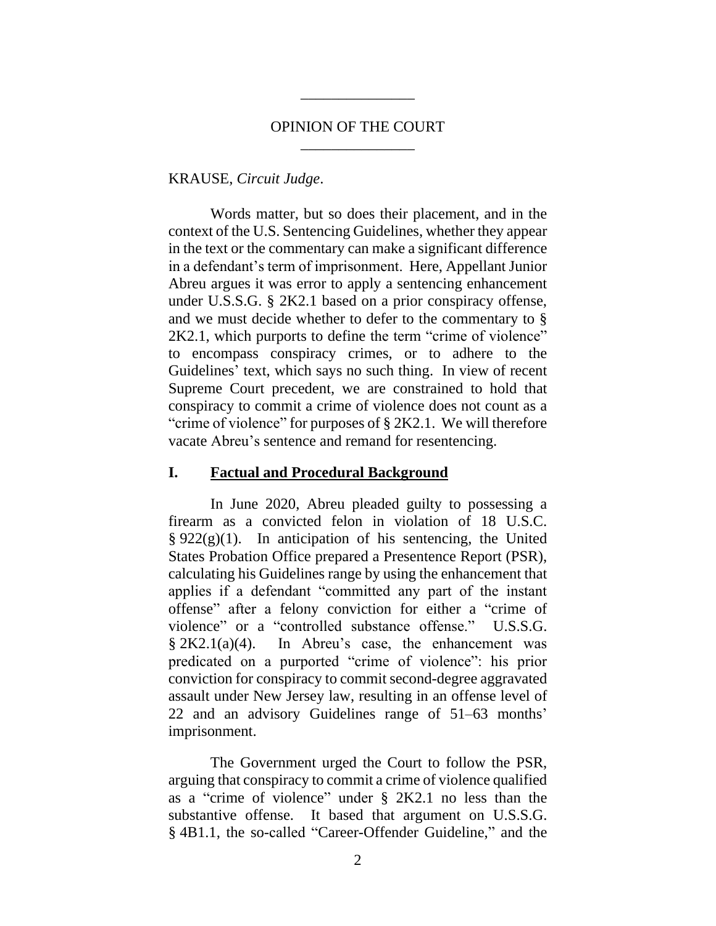## OPINION OF THE COURT \_\_\_\_\_\_\_\_\_\_\_\_\_\_\_

\_\_\_\_\_\_\_\_\_\_\_\_\_\_\_

#### KRAUSE, *Circuit Judge*.

Words matter, but so does their placement, and in the context of the U.S. Sentencing Guidelines, whether they appear in the text or the commentary can make a significant difference in a defendant's term of imprisonment. Here, Appellant Junior Abreu argues it was error to apply a sentencing enhancement under U.S.S.G. § 2K2.1 based on a prior conspiracy offense, and we must decide whether to defer to the commentary to § 2K2.1, which purports to define the term "crime of violence" to encompass conspiracy crimes, or to adhere to the Guidelines' text, which says no such thing. In view of recent Supreme Court precedent, we are constrained to hold that conspiracy to commit a crime of violence does not count as a "crime of violence" for purposes of § 2K2.1. We will therefore vacate Abreu's sentence and remand for resentencing.

## **I. Factual and Procedural Background**

In June 2020, Abreu pleaded guilty to possessing a firearm as a convicted felon in violation of 18 U.S.C.  $\S 922(g)(1)$ . In anticipation of his sentencing, the United States Probation Office prepared a Presentence Report (PSR), calculating his Guidelines range by using the enhancement that applies if a defendant "committed any part of the instant offense" after a felony conviction for either a "crime of violence" or a "controlled substance offense." U.S.S.G. § 2K2.1(a)(4). In Abreu's case, the enhancement was predicated on a purported "crime of violence": his prior conviction for conspiracy to commit second-degree aggravated assault under New Jersey law, resulting in an offense level of 22 and an advisory Guidelines range of 51–63 months' imprisonment.

The Government urged the Court to follow the PSR, arguing that conspiracy to commit a crime of violence qualified as a "crime of violence" under § 2K2.1 no less than the substantive offense. It based that argument on U.S.S.G. § 4B1.1, the so-called "Career-Offender Guideline," and the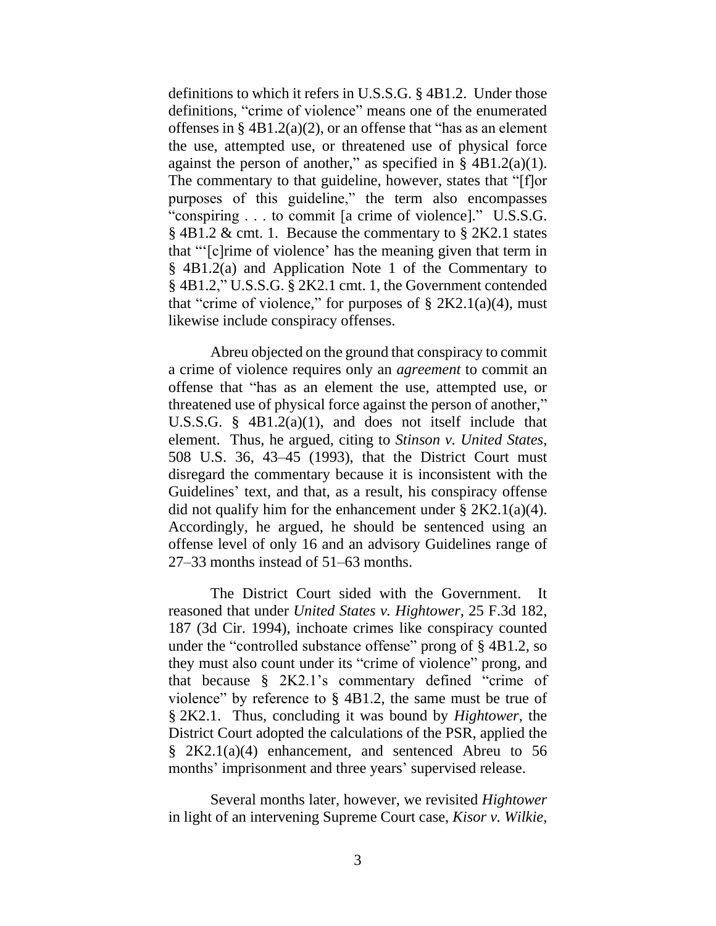definitions to which it refers in U.S.S.G. § 4B1.2. Under those definitions, "crime of violence" means one of the enumerated offenses in  $\S$  4B1.2(a)(2), or an offense that "has as an element" the use, attempted use, or threatened use of physical force against the person of another," as specified in  $\S$  4B1.2(a)(1). The commentary to that guideline, however, states that "[f]or purposes of this guideline," the term also encompasses "conspiring . . . to commit [a crime of violence]." U.S.S.G. § 4B1.2 & cmt. 1. Because the commentary to § 2K2.1 states that "'[c]rime of violence' has the meaning given that term in § 4B1.2(a) and Application Note 1 of the Commentary to § 4B1.2," U.S.S.G. § 2K2.1 cmt. 1, the Government contended that "crime of violence," for purposes of  $\S 2K2.1(a)(4)$ , must likewise include conspiracy offenses.

Abreu objected on the ground that conspiracy to commit a crime of violence requires only an *agreement* to commit an offense that "has as an element the use, attempted use, or threatened use of physical force against the person of another," U.S.S.G. § 4B1.2(a)(1), and does not itself include that element. Thus, he argued, citing to *Stinson v. United States*, 508 U.S. 36, 43–45 (1993), that the District Court must disregard the commentary because it is inconsistent with the Guidelines' text, and that, as a result, his conspiracy offense did not qualify him for the enhancement under  $\S 2K2.1(a)(4)$ . Accordingly, he argued, he should be sentenced using an offense level of only 16 and an advisory Guidelines range of 27–33 months instead of 51–63 months.

The District Court sided with the Government. It reasoned that under *United States v. Hightower*, 25 F.3d 182, 187 (3d Cir. 1994), inchoate crimes like conspiracy counted under the "controlled substance offense" prong of § 4B1.2, so they must also count under its "crime of violence" prong, and that because § 2K2.1's commentary defined "crime of violence" by reference to § 4B1.2, the same must be true of § 2K2.1. Thus, concluding it was bound by *Hightower*, the District Court adopted the calculations of the PSR, applied the § 2K2.1(a)(4) enhancement, and sentenced Abreu to 56 months' imprisonment and three years' supervised release.

Several months later, however, we revisited *Hightower* in light of an intervening Supreme Court case, *Kisor v. Wilkie*,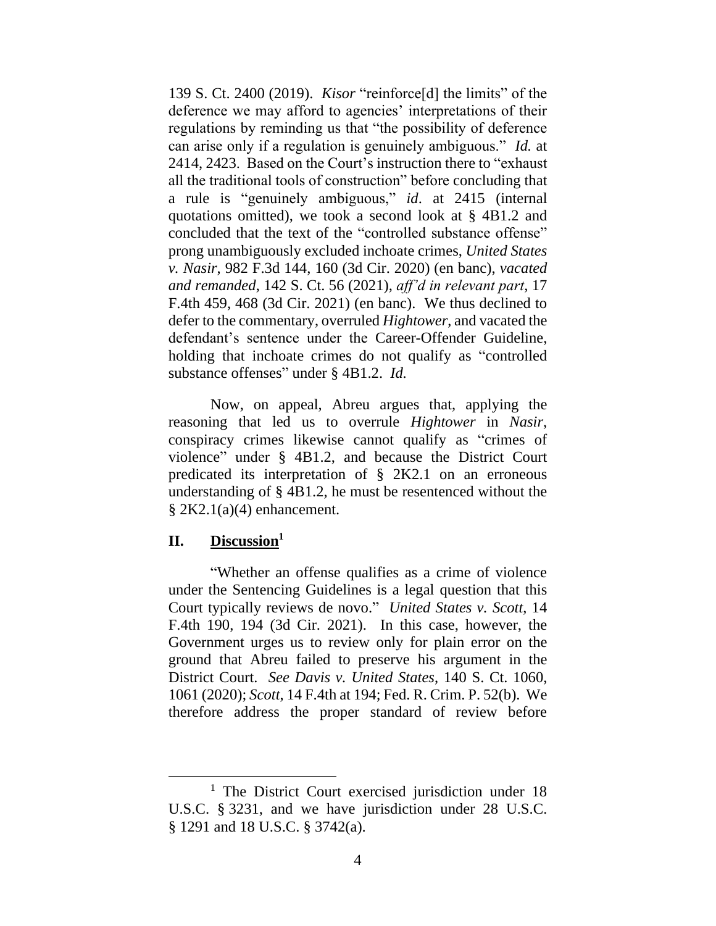139 S. Ct. 2400 (2019). *Kisor* "reinforce[d] the limits" of the deference we may afford to agencies' interpretations of their regulations by reminding us that "the possibility of deference can arise only if a regulation is genuinely ambiguous." *Id.* at 2414, 2423. Based on the Court's instruction there to "exhaust all the traditional tools of construction" before concluding that a rule is "genuinely ambiguous," *id*. at 2415 (internal quotations omitted), we took a second look at § 4B1.2 and concluded that the text of the "controlled substance offense" prong unambiguously excluded inchoate crimes, *United States v. Nasir*, 982 F.3d 144, 160 (3d Cir. 2020) (en banc), *vacated and remanded*, 142 S. Ct. 56 (2021), *aff'd in relevant part*, 17 F.4th 459, 468 (3d Cir. 2021) (en banc). We thus declined to defer to the commentary, overruled *Hightower*, and vacated the defendant's sentence under the Career-Offender Guideline, holding that inchoate crimes do not qualify as "controlled substance offenses" under § 4B1.2. *Id.*

Now, on appeal, Abreu argues that, applying the reasoning that led us to overrule *Hightower* in *Nasir*, conspiracy crimes likewise cannot qualify as "crimes of violence" under § 4B1.2, and because the District Court predicated its interpretation of § 2K2.1 on an erroneous understanding of § 4B1.2, he must be resentenced without the  $\S 2K2.1(a)(4)$  enhancement.

## **II. Discussion<sup>1</sup>**

"Whether an offense qualifies as a crime of violence under the Sentencing Guidelines is a legal question that this Court typically reviews de novo." *United States v. Scott*, 14 F.4th 190, 194 (3d Cir. 2021). In this case, however, the Government urges us to review only for plain error on the ground that Abreu failed to preserve his argument in the District Court. *See Davis v. United States*, 140 S. Ct. 1060, 1061 (2020); *Scott*, 14 F.4th at 194; Fed. R. Crim. P. 52(b). We therefore address the proper standard of review before

<sup>&</sup>lt;sup>1</sup> The District Court exercised jurisdiction under 18 U.S.C. § 3231, and we have jurisdiction under 28 U.S.C. § 1291 and 18 U.S.C. § 3742(a).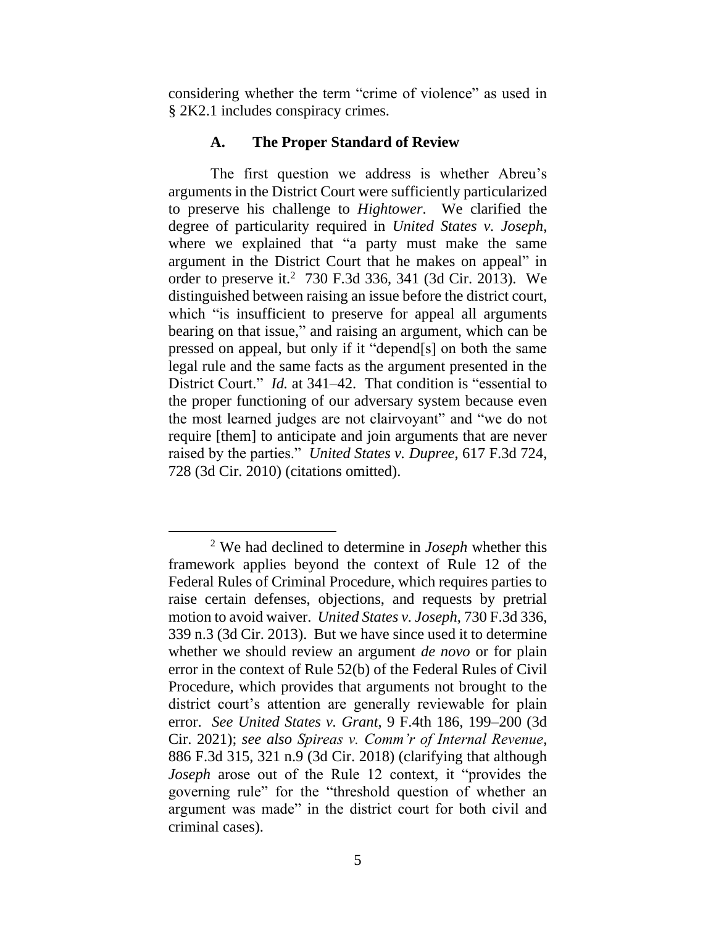considering whether the term "crime of violence" as used in § 2K2.1 includes conspiracy crimes.

#### **A. The Proper Standard of Review**

The first question we address is whether Abreu's arguments in the District Court were sufficiently particularized to preserve his challenge to *Hightower*. We clarified the degree of particularity required in *United States v. Joseph*, where we explained that "a party must make the same argument in the District Court that he makes on appeal" in order to preserve it.<sup>2</sup> 730 F.3d 336, 341 (3d Cir. 2013). We distinguished between raising an issue before the district court, which "is insufficient to preserve for appeal all arguments bearing on that issue," and raising an argument, which can be pressed on appeal, but only if it "depend[s] on both the same legal rule and the same facts as the argument presented in the District Court." *Id.* at 341–42. That condition is "essential to the proper functioning of our adversary system because even the most learned judges are not clairvoyant" and "we do not require [them] to anticipate and join arguments that are never raised by the parties." *United States v. Dupree*, 617 F.3d 724, 728 (3d Cir. 2010) (citations omitted).

<sup>2</sup> We had declined to determine in *Joseph* whether this framework applies beyond the context of Rule 12 of the Federal Rules of Criminal Procedure, which requires parties to raise certain defenses, objections, and requests by pretrial motion to avoid waiver. *United States v. Joseph*, 730 F.3d 336, 339 n.3 (3d Cir. 2013). But we have since used it to determine whether we should review an argument *de novo* or for plain error in the context of Rule 52(b) of the Federal Rules of Civil Procedure, which provides that arguments not brought to the district court's attention are generally reviewable for plain error. *See United States v. Grant*, 9 F.4th 186, 199–200 (3d Cir. 2021); *see also Spireas v. Comm'r of Internal Revenue*, 886 F.3d 315, 321 n.9 (3d Cir. 2018) (clarifying that although *Joseph* arose out of the Rule 12 context, it "provides the governing rule" for the "threshold question of whether an argument was made" in the district court for both civil and criminal cases).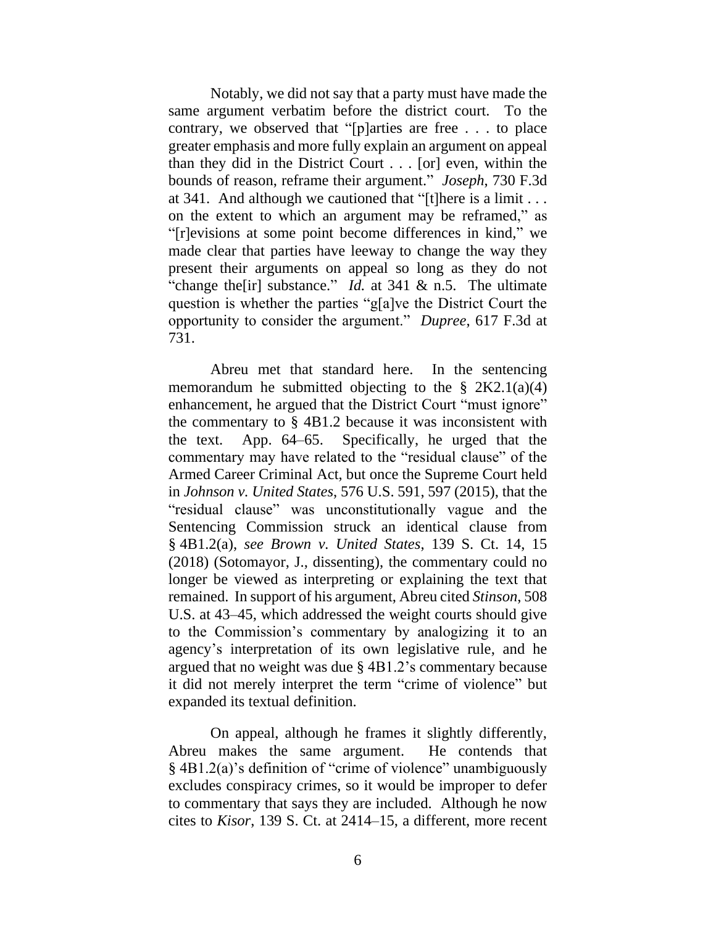Notably, we did not say that a party must have made the same argument verbatim before the district court. To the contrary, we observed that "[p]arties are free . . . to place greater emphasis and more fully explain an argument on appeal than they did in the District Court . . . [or] even, within the bounds of reason, reframe their argument." *Joseph*, 730 F.3d at 341. And although we cautioned that "[t]here is a limit . . . on the extent to which an argument may be reframed," as "[r]evisions at some point become differences in kind," we made clear that parties have leeway to change the way they present their arguments on appeal so long as they do not "change the [ir] substance." *Id.* at 341 & n.5. The ultimate question is whether the parties "g[a]ve the District Court the opportunity to consider the argument." *Dupree*, 617 F.3d at 731.

Abreu met that standard here. In the sentencing memorandum he submitted objecting to the  $\S 2K2.1(a)(4)$ enhancement, he argued that the District Court "must ignore" the commentary to § 4B1.2 because it was inconsistent with the text. App. 64–65. Specifically, he urged that the commentary may have related to the "residual clause" of the Armed Career Criminal Act, but once the Supreme Court held in *Johnson v. United States*, 576 U.S. 591, 597 (2015), that the "residual clause" was unconstitutionally vague and the Sentencing Commission struck an identical clause from § 4B1.2(a), *see Brown v. United States*, 139 S. Ct. 14, 15 (2018) (Sotomayor, J., dissenting), the commentary could no longer be viewed as interpreting or explaining the text that remained. In support of his argument, Abreu cited *Stinson*, 508 U.S. at 43–45, which addressed the weight courts should give to the Commission's commentary by analogizing it to an agency's interpretation of its own legislative rule, and he argued that no weight was due § 4B1.2's commentary because it did not merely interpret the term "crime of violence" but expanded its textual definition.

On appeal, although he frames it slightly differently, Abreu makes the same argument. He contends that § 4B1.2(a)'s definition of "crime of violence" unambiguously excludes conspiracy crimes, so it would be improper to defer to commentary that says they are included. Although he now cites to *Kisor*, 139 S. Ct. at 2414–15, a different, more recent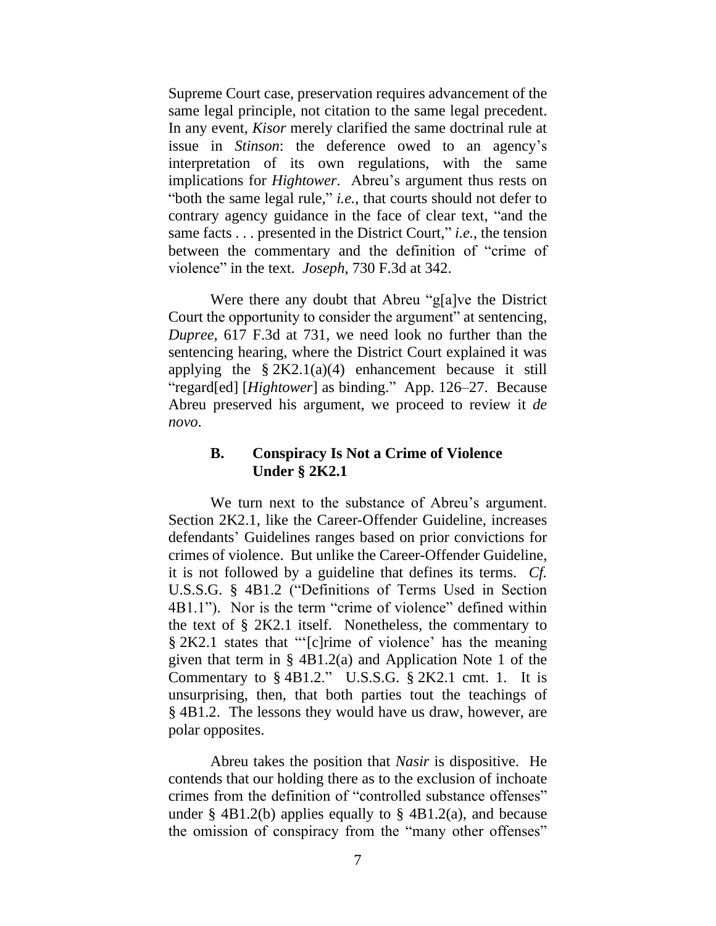Supreme Court case, preservation requires advancement of the same legal principle, not citation to the same legal precedent. In any event, *Kisor* merely clarified the same doctrinal rule at issue in *Stinson*: the deference owed to an agency's interpretation of its own regulations, with the same implications for *Hightower*. Abreu's argument thus rests on "both the same legal rule," *i.e.*, that courts should not defer to contrary agency guidance in the face of clear text, "and the same facts . . . presented in the District Court," *i.e.*, the tension between the commentary and the definition of "crime of violence" in the text. *Joseph*, 730 F.3d at 342.

Were there any doubt that Abreu "g[a]ve the District Court the opportunity to consider the argument" at sentencing, *Dupree*, 617 F.3d at 731, we need look no further than the sentencing hearing, where the District Court explained it was applying the  $\S 2K2.1(a)(4)$  enhancement because it still "regard[ed] [*Hightower*] as binding." App. 126–27. Because Abreu preserved his argument, we proceed to review it *de novo*.

## **B. Conspiracy Is Not a Crime of Violence Under § 2K2.1**

We turn next to the substance of Abreu's argument. Section 2K2.1, like the Career-Offender Guideline, increases defendants' Guidelines ranges based on prior convictions for crimes of violence. But unlike the Career-Offender Guideline, it is not followed by a guideline that defines its terms. *Cf.* U.S.S.G. § 4B1.2 ("Definitions of Terms Used in Section 4B1.1"). Nor is the term "crime of violence" defined within the text of § 2K2.1 itself. Nonetheless, the commentary to § 2K2.1 states that "'[c]rime of violence' has the meaning given that term in § 4B1.2(a) and Application Note 1 of the Commentary to  $\S$  4B1.2." U.S.S.G.  $\S$  2K2.1 cmt. 1. It is unsurprising, then, that both parties tout the teachings of § 4B1.2. The lessons they would have us draw, however, are polar opposites.

Abreu takes the position that *Nasir* is dispositive. He contends that our holding there as to the exclusion of inchoate crimes from the definition of "controlled substance offenses" under  $\S$  4B1.2(b) applies equally to  $\S$  4B1.2(a), and because the omission of conspiracy from the "many other offenses"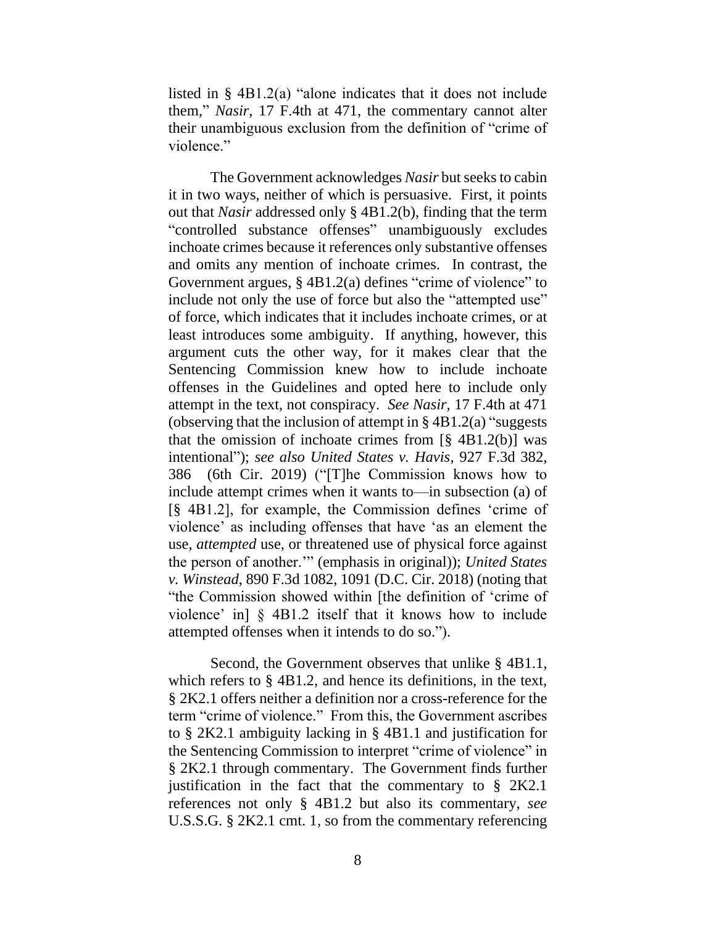listed in § 4B1.2(a) "alone indicates that it does not include them," *Nasir*, 17 F.4th at 471, the commentary cannot alter their unambiguous exclusion from the definition of "crime of violence."

The Government acknowledges *Nasir* but seeks to cabin it in two ways, neither of which is persuasive. First, it points out that *Nasir* addressed only § 4B1.2(b), finding that the term "controlled substance offenses" unambiguously excludes inchoate crimes because it references only substantive offenses and omits any mention of inchoate crimes. In contrast, the Government argues, § 4B1.2(a) defines "crime of violence" to include not only the use of force but also the "attempted use" of force, which indicates that it includes inchoate crimes, or at least introduces some ambiguity. If anything, however, this argument cuts the other way, for it makes clear that the Sentencing Commission knew how to include inchoate offenses in the Guidelines and opted here to include only attempt in the text, not conspiracy. *See Nasir*, 17 F.4th at 471 (observing that the inclusion of attempt in  $\S$  4B1.2(a) "suggests that the omission of inchoate crimes from  $\lbrack \S 4B1.2(b) \rbrack$  was intentional"); *see also United States v. Havis*, 927 F.3d 382, 386 (6th Cir. 2019) ("[T]he Commission knows how to include attempt crimes when it wants to—in subsection (a) of [§ 4B1.2], for example, the Commission defines 'crime of violence' as including offenses that have 'as an element the use, *attempted* use, or threatened use of physical force against the person of another.'" (emphasis in original)); *United States v. Winstead*, 890 F.3d 1082, 1091 (D.C. Cir. 2018) (noting that "the Commission showed within [the definition of 'crime of violence' in] § 4B1.2 itself that it knows how to include attempted offenses when it intends to do so.").

Second, the Government observes that unlike § 4B1.1, which refers to § 4B1.2, and hence its definitions, in the text, § 2K2.1 offers neither a definition nor a cross-reference for the term "crime of violence." From this, the Government ascribes to § 2K2.1 ambiguity lacking in § 4B1.1 and justification for the Sentencing Commission to interpret "crime of violence" in § 2K2.1 through commentary. The Government finds further justification in the fact that the commentary to  $\S 2K2.1$ references not only § 4B1.2 but also its commentary, *see* U.S.S.G. § 2K2.1 cmt. 1, so from the commentary referencing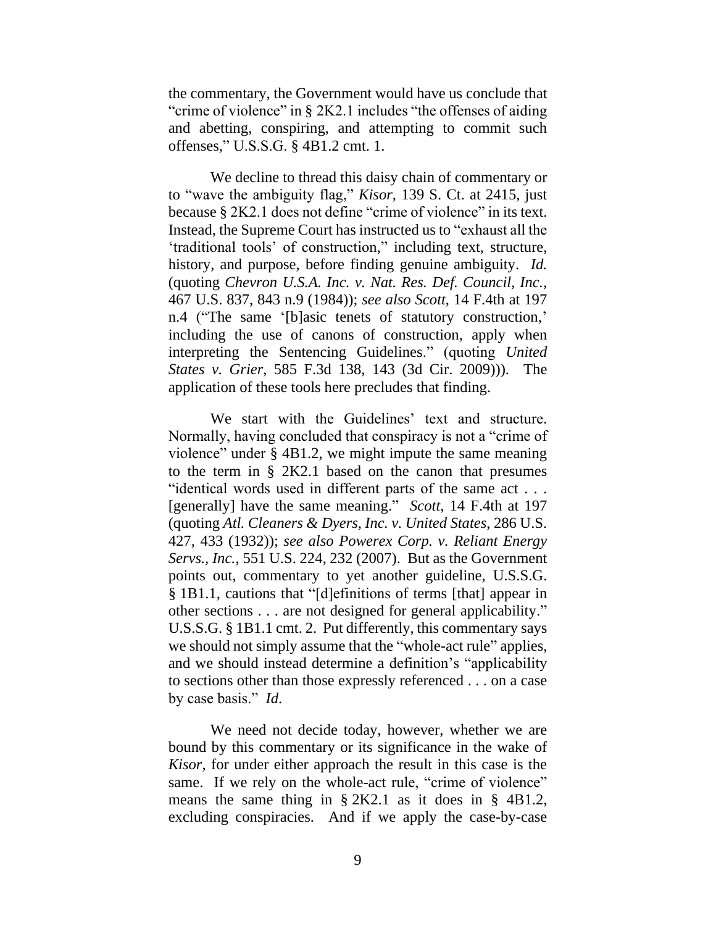the commentary, the Government would have us conclude that "crime of violence" in § 2K2.1 includes "the offenses of aiding and abetting, conspiring, and attempting to commit such offenses," U.S.S.G. § 4B1.2 cmt. 1.

We decline to thread this daisy chain of commentary or to "wave the ambiguity flag," *Kisor*, 139 S. Ct. at 2415, just because § 2K2.1 does not define "crime of violence" in its text. Instead, the Supreme Court has instructed us to "exhaust all the 'traditional tools' of construction," including text, structure, history, and purpose, before finding genuine ambiguity. *Id.* (quoting *Chevron U.S.A. Inc. v. Nat. Res. Def. Council, Inc.*, 467 U.S. 837, 843 n.9 (1984)); *see also Scott*, 14 F.4th at 197 n.4 ("The same '[b]asic tenets of statutory construction,' including the use of canons of construction, apply when interpreting the Sentencing Guidelines." (quoting *United States v. Grier*, 585 F.3d 138, 143 (3d Cir. 2009))). The application of these tools here precludes that finding.

We start with the Guidelines' text and structure. Normally, having concluded that conspiracy is not a "crime of violence" under § 4B1.2, we might impute the same meaning to the term in § 2K2.1 based on the canon that presumes "identical words used in different parts of the same act . . . [generally] have the same meaning." *Scott*, 14 F.4th at 197 (quoting *Atl. Cleaners & Dyers, Inc. v. United States*, 286 U.S. 427, 433 (1932)); *see also Powerex Corp. v. Reliant Energy Servs., Inc.*, 551 U.S. 224, 232 (2007). But as the Government points out, commentary to yet another guideline, U.S.S.G. § 1B1.1, cautions that "[d]efinitions of terms [that] appear in other sections . . . are not designed for general applicability." U.S.S.G. § 1B1.1 cmt. 2. Put differently, this commentary says we should not simply assume that the "whole-act rule" applies, and we should instead determine a definition's "applicability to sections other than those expressly referenced . . . on a case by case basis." *Id*.

We need not decide today, however, whether we are bound by this commentary or its significance in the wake of *Kisor*, for under either approach the result in this case is the same. If we rely on the whole-act rule, "crime of violence" means the same thing in § 2K2.1 as it does in § 4B1.2, excluding conspiracies. And if we apply the case-by-case